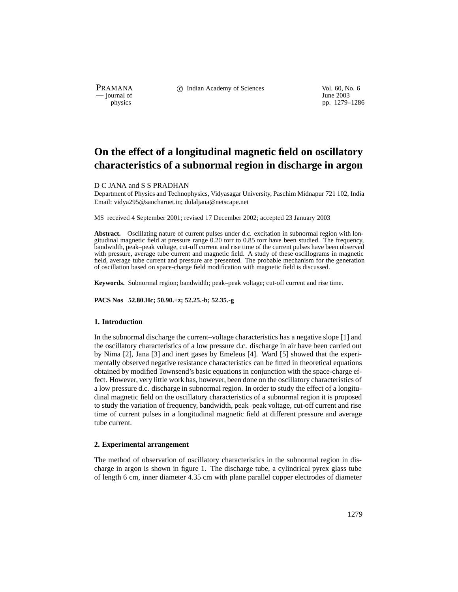— journal of<br>physics

PRAMANA 
<sup>c</sup> Indian Academy of Sciences 
<sup>Vol. 60, No. 6
<sup>1</sup> June 2003</sup>

pp. 1279–1286

# **On the effect of a longitudinal magnetic field on oscillatory characteristics of a subnormal region in discharge in argon**

### D C JANA and S S PRADHAN

Department of Physics and Technophysics, Vidyasagar University, Paschim Midnapur 721 102, India Email: vidya295@sancharnet.in; dulaljana@netscape.net

MS received 4 September 2001; revised 17 December 2002; accepted 23 January 2003

**Abstract.** Oscillating nature of current pulses under d.c. excitation in subnormal region with longitudinal magnetic field at pressure range 0.20 torr to 0.85 torr have been studied. The frequency, bandwidth, peak–peak voltage, cut-off current and rise time of the current pulses have been observed with pressure, average tube current and magnetic field. A study of these oscillograms in magnetic field, average tube current and pressure are presented. The probable mechanism for the generation of oscillation based on space-charge field modification with magnetic field is discussed.

**Keywords.** Subnormal region; bandwidth; peak–peak voltage; cut-off current and rise time.

**PACS Nos 52.80.Hc; 50.90.+z; 52.25.-b; 52.35.-g**

#### **1. Introduction**

In the subnormal discharge the current–voltage characteristics has a negative slope [1] and the oscillatory characteristics of a low pressure d.c. discharge in air have been carried out by Nima [2], Jana [3] and inert gases by Emeleus [4]. Ward [5] showed that the experimentally observed negative resistance characteristics can be fitted in theoretical equations obtained by modified Townsend's basic equations in conjunction with the space-charge effect. However, very little work has, however, been done on the oscillatory characteristics of a low pressure d.c. discharge in subnormal region. In order to study the effect of a longitudinal magnetic field on the oscillatory characteristics of a subnormal region it is proposed to study the variation of frequency, bandwidth, peak–peak voltage, cut-off current and rise time of current pulses in a longitudinal magnetic field at different pressure and average tube current.

## **2. Experimental arrangement**

The method of observation of oscillatory characteristics in the subnormal region in discharge in argon is shown in figure 1. The discharge tube, a cylindrical pyrex glass tube of length 6 cm, inner diameter 4.35 cm with plane parallel copper electrodes of diameter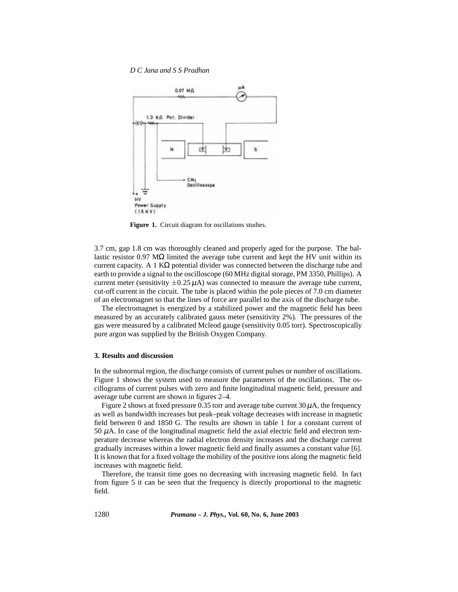*D C Jana and S S Pradhan*



Figure 1. Circuit diagram for oscillations studies.

3.7 cm, gap 1.8 cm was thoroughly cleaned and properly aged for the purpose. The ballastic resistor 0.97 M $\Omega$  limited the average tube current and kept the HV unit within its current capacity. A 1 K $\Omega$  potential divider was connected between the discharge tube and earth to provide a signal to the oscilloscope (60 MHz digital storage, PM 3350, Phillips). A current meter (sensitivity  $\pm 0.25 \mu A$ ) was connected to measure the average tube current, cut-off current in the circuit. The tube is placed within the pole pieces of 7.0 cm diameter of an electromagnet so that the lines of force are parallel to the axis of the discharge tube.

The electromagnet is energized by a stabilized power and the magnetic field has been measured by an accurately calibrated gauss meter (sensitivity 2%). The pressures of the gas were measured by a calibrated Mcleod gauge (sensitivity 0.05 torr). Spectroscopically pure argon was supplied by the British Oxygen Company.

#### **3. Results and discussion**

In the subnormal region, the discharge consists of current pulses or number of oscillations. Figure 1 shows the system used to measure the parameters of the oscillations. The oscillograms of current pulses with zero and finite longitudinal magnetic field, pressure and average tube current are shown in figures 2–4.

Figure 2 shows at fixed pressure 0.35 torr and average tube current  $30 \mu A$ , the frequency as well as bandwidth increases but peak–peak voltage decreases with increase in magnetic field between 0 and 1850 G. The results are shown in table 1 for a constant current of 50  $\mu$ A. In case of the longitudinal magnetic field the axial electric field and electron temperature decrease whereas the radial electron density increases and the discharge current gradually increases within a lower magnetic field and finally assumes a constant value [6]. It is known that for a fixed voltage the mobility of the positive ions along the magnetic field increases with magnetic field.

Therefore, the transit time goes no decreasing with increasing magnetic field. In fact from figure 5 it can be seen that the frequency is directly proportional to the magnetic field.

1280 *Pramana – J. Phys.,* **Vol. 60, No. 6, June 2003**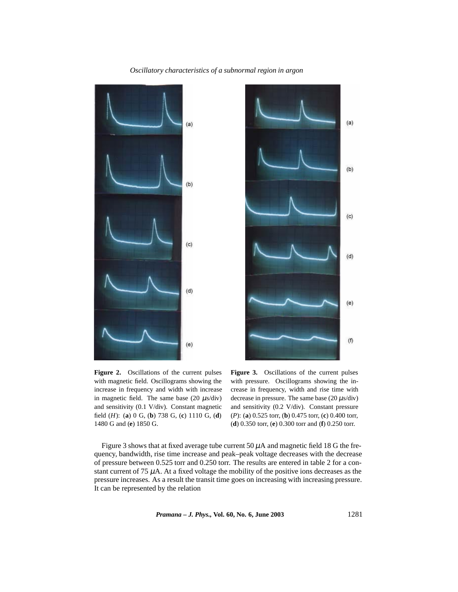

1480 G and (**e**) 1850 G.

*Oscillatory characteristics of a subnormal region in argon*

with magnetic field. Oscillograms showing the increase in frequency and width with increase in magnetic field. The same base  $(20 \mu s/div)$ and sensitivity (0.1 V/div). Constant magnetic field (*H*): (**a**) 0 G, (**b**) 738 G, (**c**) 1110 G, (**d**) **Figure 3.** Oscillations of the current pulses with pressure. Oscillograms showing the increase in frequency, width and rise time with decrease in pressure. The same base  $(20 \mu s/div)$ and sensitivity (0.2 V/div). Constant pressure (*P*): (**a**) 0.525 torr, (**b**) 0.475 torr, (**c**) 0.400 torr, (**d**) 0.350 torr, (**e**) 0.300 torr and (**f**) 0.250 torr.

Figure 3 shows that at fixed average tube current 50  $\mu$ A and magnetic field 18 G the frequency, bandwidth, rise time increase and peak–peak voltage decreases with the decrease of pressure between 0.525 torr and 0.250 torr. The results are entered in table 2 for a constant current of 75  $\mu$ A. At a fixed voltage the mobility of the positive ions decreases as the pressure increases. As a result the transit time goes on increasing with increasing pressure. It can be represented by the relation

 $(a)$ 

 $(b)$ 

 $(c)$ 

 $(d)$ 

 $(e)$ 

 $(f)$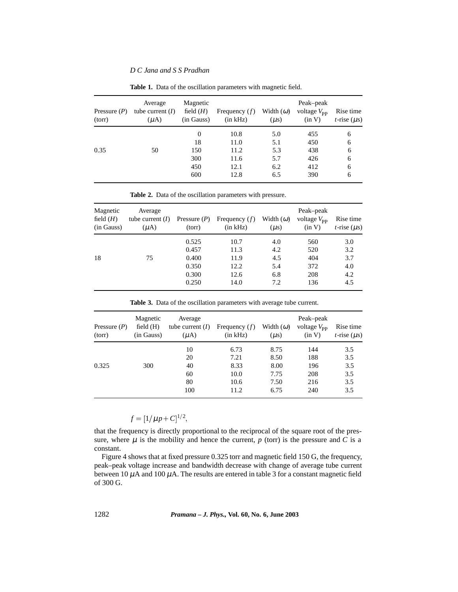# *D C Jana and S S Pradhan*

| Pressure $(P)$<br>(torr) | Average<br>tube current $(I)$<br>$(\mu A)$ | Magnetic<br>field $(H)$<br>(in Gauss) | Frequency $(f)$<br>(in kHz) | Width $(\omega)$<br>$(\mu s)$ | Peak-peak<br>voltage $V_{\rm pp}$<br>(in V) | Rise time<br><i>t</i> -rise $(\mu s)$ |
|--------------------------|--------------------------------------------|---------------------------------------|-----------------------------|-------------------------------|---------------------------------------------|---------------------------------------|
|                          |                                            | $\Omega$                              | 10.8                        | 5.0                           | 455                                         | 6                                     |
|                          |                                            | 18                                    | 11.0                        | 5.1                           | 450                                         | 6                                     |
| 0.35                     | 50                                         | 150                                   | 11.2                        | 5.3                           | 438                                         | 6                                     |
|                          |                                            | 300                                   | 11.6                        | 5.7                           | 426                                         | 6                                     |
|                          |                                            | 450                                   | 12.1                        | 6.2                           | 412                                         | 6                                     |
|                          |                                            | 600                                   | 12.8                        | 6.5                           | 390                                         | 6                                     |

**Table 1.** Data of the oscillation parameters with magnetic field.

| Magnetic<br>field $(H)$<br>(in Gauss) | Average<br>tube current $(I)$<br>$(\mu A)$ | Pressure $(P)$<br>(torr) | Frequency $(f)$<br>(in kHz) | Width $(\omega)$<br>$(\mu s)$ | Peak–peak<br>voltage $V_{\rm pp}$<br>(in V) | Rise time<br><i>t</i> -rise $(\mu s)$ |
|---------------------------------------|--------------------------------------------|--------------------------|-----------------------------|-------------------------------|---------------------------------------------|---------------------------------------|
|                                       |                                            | 0.525                    | 10.7                        | 4.0                           | 560                                         | 3.0                                   |
|                                       |                                            | 0.457                    | 11.3                        | 4.2                           | 520                                         | 3.2                                   |
| 18                                    | 75                                         | 0.400                    | 11.9                        | 4.5                           | 404                                         | 3.7                                   |
|                                       |                                            | 0.350                    | 12.2                        | 5.4                           | 372                                         | 4.0                                   |
|                                       |                                            | 0.300                    | 12.6                        | 6.8                           | 208                                         | 4.2                                   |
|                                       |                                            | 0.250                    | 14.0                        | 7.2                           | 136                                         | 4.5                                   |

| Pressure $(P)$<br>(torr) | Magnetic<br>field $(H)$<br>(in Gauss) | Average<br>tube current $(I)$<br>$(\mu A)$ | Frequency $(f)$<br>(in kHz) | Width $(\omega)$<br>$(\mu s)$ | Peak–peak<br>voltage $V_{\rm pp}$<br>(in V) | Rise time<br><i>t</i> -rise $(\mu s)$ |
|--------------------------|---------------------------------------|--------------------------------------------|-----------------------------|-------------------------------|---------------------------------------------|---------------------------------------|
|                          |                                       | 10                                         | 6.73                        | 8.75                          | 144                                         | 3.5                                   |
|                          |                                       | 20                                         | 7.21                        | 8.50                          | 188                                         | 3.5                                   |
| 0.325                    | 300                                   | 40                                         | 8.33                        | 8.00                          | 196                                         | 3.5                                   |
|                          |                                       | 60                                         | 10.0                        | 7.75                          | 208                                         | 3.5                                   |
|                          |                                       | 80                                         | 10.6                        | 7.50                          | 216                                         | 3.5                                   |
|                          |                                       | 100                                        | 11.2                        | 6.75                          | 240                                         | 3.5                                   |

**Table 3.** Data of the oscillation parameters with average tube current.

 $f = [1/\mu p + C]^{1/2},$ 

that the frequency is directly proportional to the reciprocal of the square root of the pressure, where  $\mu$  is the mobility and hence the current,  $p$  (torr) is the pressure and  $C$  is a constant.

Figure 4 shows that at fixed pressure 0.325 torr and magnetic field 150 G, the frequency, peak–peak voltage increase and bandwidth decrease with change of average tube current between 10  $\mu$ A and 100  $\mu$ A. The results are entered in table 3 for a constant magnetic field of 300 G.

1282 *Pramana – J. Phys.,* **Vol. 60, No. 6, June 2003**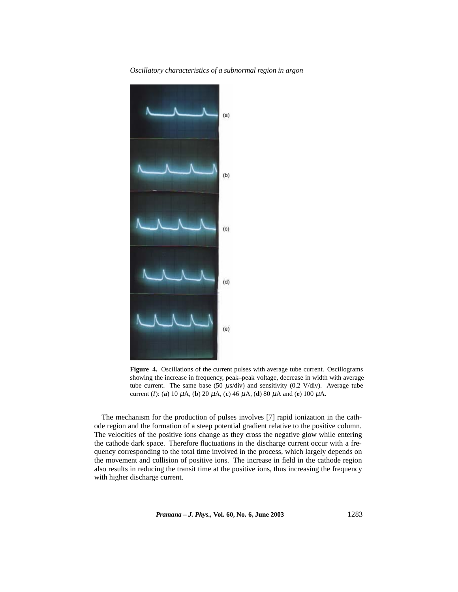*Oscillatory characteristics of a subnormal region in argon*



**Figure 4.** Oscillations of the current pulses with average tube current. Oscillograms showing the increase in frequency, peak–peak voltage, decrease in width with average tube current. The same base (50  $\mu$ s/div) and sensitivity (0.2 V/div). Average tube current (*I*): (**a**) 10 µA, (**b**) 20 µA, (**c**) 46 µA, (**d**) 80 µA and (**e**) 100 µA.

The mechanism for the production of pulses involves [7] rapid ionization in the cathode region and the formation of a steep potential gradient relative to the positive column. The velocities of the positive ions change as they cross the negative glow while entering the cathode dark space. Therefore fluctuations in the discharge current occur with a frequency corresponding to the total time involved in the process, which largely depends on the movement and collision of positive ions. The increase in field in the cathode region also results in reducing the transit time at the positive ions, thus increasing the frequency with higher discharge current.

*Pramana – J. Phys.,* **Vol. 60, No. 6, June 2003** 1283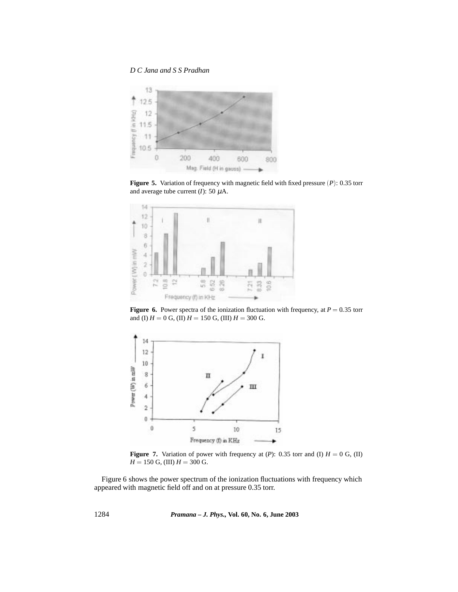*D C Jana and S S Pradhan*



**Figure 5.** Variation of frequency with magnetic field with fixed pressure (*P*): 0.35 torr and average tube current  $(I)$ : 50  $\mu$ A.



**Figure 6.** Power spectra of the ionization fluctuation with frequency, at  $P = 0.35$  torr and (I)  $H = 0$  G, (II)  $H = 150$  G, (III)  $H = 300$  G.



**Figure 7.** Variation of power with frequency at (*P*): 0.35 torr and (I)  $H = 0$  G, (II)  $H = 150$  G, (III)  $H = 300$  G.

Figure 6 shows the power spectrum of the ionization fluctuations with frequency which appeared with magnetic field off and on at pressure 0.35 torr.

1284 *Pramana – J. Phys.,* **Vol. 60, No. 6, June 2003**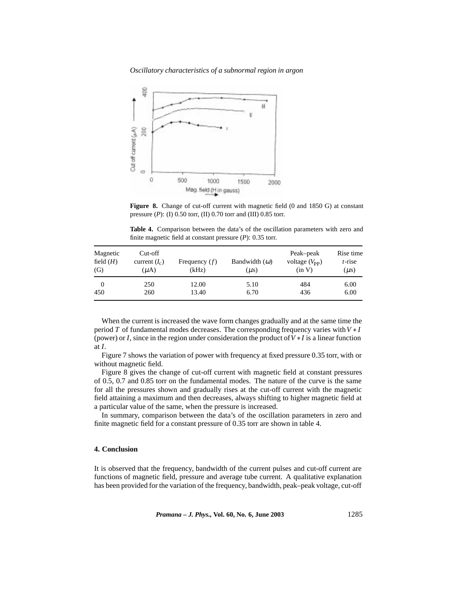*Oscillatory characteristics of a subnormal region in argon*



**Figure 8.** Change of cut-off current with magnetic field (0 and 1850 G) at constant pressure (*P*): (I) 0.50 torr, (II) 0.70 torr and (III) 0.85 torr.

**Table 4.** Comparison between the data's of the oscillation parameters with zero and finite magnetic field at constant pressure (*P*): 0.35 torr.

| Magnetic<br>field $(H)$<br>(G) | $Cut-off$<br>current $(I_c)$<br>$(\mu A)$ | Frequency $(f)$<br>(kHz) | Bandwidth $(\omega)$<br>$(\mu s)$ | Peak-peak<br>voltage $(V_{\text{pp}})$<br>(in V) | Rise time<br>$t$ -rise<br>$(\mu s)$ |
|--------------------------------|-------------------------------------------|--------------------------|-----------------------------------|--------------------------------------------------|-------------------------------------|
| $\Omega$                       | 250                                       | 12.00                    | 5.10                              | 484                                              | 6.00                                |
| 450                            | 260                                       | 13.40                    | 6.70                              | 436                                              | 6.00                                |

When the current is increased the wave form changes gradually and at the same time the period *T* of fundamental modes decreases. The corresponding frequency varies with  $V * I$ (power) or *I*, since in the region under consideration the product of  $V * I$  is a linear function at *I*.

Figure 7 shows the variation of power with frequency at fixed pressure 0.35 torr, with or without magnetic field.

Figure 8 gives the change of cut-off current with magnetic field at constant pressures of 0.5, 0.7 and 0.85 torr on the fundamental modes. The nature of the curve is the same for all the pressures shown and gradually rises at the cut-off current with the magnetic field attaining a maximum and then decreases, always shifting to higher magnetic field at a particular value of the same, when the pressure is increased.

In summary, comparison between the data's of the oscillation parameters in zero and finite magnetic field for a constant pressure of 0.35 torr are shown in table 4.

#### **4. Conclusion**

It is observed that the frequency, bandwidth of the current pulses and cut-off current are functions of magnetic field, pressure and average tube current. A qualitative explanation has been provided for the variation of the frequency, bandwidth, peak–peak voltage, cut-off

*Pramana – J. Phys.,* **Vol. 60, No. 6, June 2003** 1285